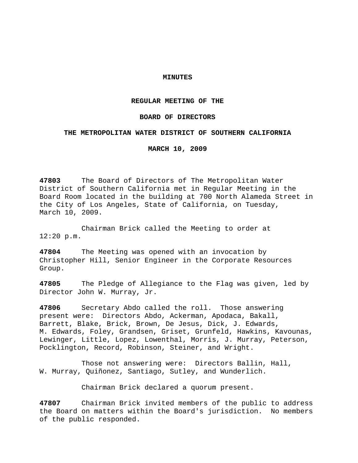## **MINUTES**

### **REGULAR MEETING OF THE**

### **BOARD OF DIRECTORS**

### **THE METROPOLITAN WATER DISTRICT OF SOUTHERN CALIFORNIA**

**MARCH 10, 2009** 

**47803** The Board of Directors of The Metropolitan Water District of Southern California met in Regular Meeting in the Board Room located in the building at 700 North Alameda Street in the City of Los Angeles, State of California, on Tuesday, March 10, 2009.

 Chairman Brick called the Meeting to order at 12:20 p.m.

**47804** The Meeting was opened with an invocation by Christopher Hill, Senior Engineer in the Corporate Resources Group.

**47805** The Pledge of Allegiance to the Flag was given, led by Director John W. Murray, Jr.

**47806** Secretary Abdo called the roll. Those answering present were: Directors Abdo, Ackerman, Apodaca, Bakall, Barrett, Blake, Brick, Brown, De Jesus, Dick, J. Edwards, M. Edwards, Foley, Grandsen, Griset, Grunfeld, Hawkins, Kavounas, Lewinger, Little, Lopez, Lowenthal, Morris, J. Murray, Peterson, Pocklington, Record, Robinson, Steiner, and Wright.

 Those not answering were: Directors Ballin, Hall, W. Murray, Quiñonez, Santiago, Sutley, and Wunderlich.

Chairman Brick declared a quorum present.

**47807** Chairman Brick invited members of the public to address the Board on matters within the Board's jurisdiction. No members of the public responded.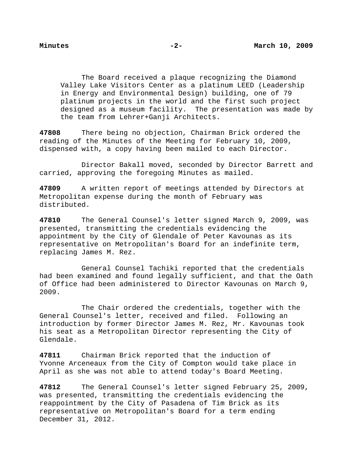The Board received a plaque recognizing the Diamond Valley Lake Visitors Center as a platinum LEED (Leadership in Energy and Environmental Design) building, one of 79 platinum projects in the world and the first such project designed as a museum facility. The presentation was made by the team from Lehrer+Ganji Architects.

**47808** There being no objection, Chairman Brick ordered the reading of the Minutes of the Meeting for February 10, 2009, dispensed with, a copy having been mailed to each Director.

 Director Bakall moved, seconded by Director Barrett and carried, approving the foregoing Minutes as mailed.

**47809** A written report of meetings attended by Directors at Metropolitan expense during the month of February was distributed.

**47810** The General Counsel's letter signed March 9, 2009, was presented, transmitting the credentials evidencing the appointment by the City of Glendale of Peter Kavounas as its representative on Metropolitan's Board for an indefinite term, replacing James M. Rez.

 General Counsel Tachiki reported that the credentials had been examined and found legally sufficient, and that the Oath of Office had been administered to Director Kavounas on March 9, 2009.

 The Chair ordered the credentials, together with the General Counsel's letter, received and filed. Following an introduction by former Director James M. Rez, Mr. Kavounas took his seat as a Metropolitan Director representing the City of Glendale.

**47811** Chairman Brick reported that the induction of Yvonne Arceneaux from the City of Compton would take place in April as she was not able to attend today's Board Meeting.

**47812** The General Counsel's letter signed February 25, 2009, was presented, transmitting the credentials evidencing the reappointment by the City of Pasadena of Tim Brick as its representative on Metropolitan's Board for a term ending December 31, 2012.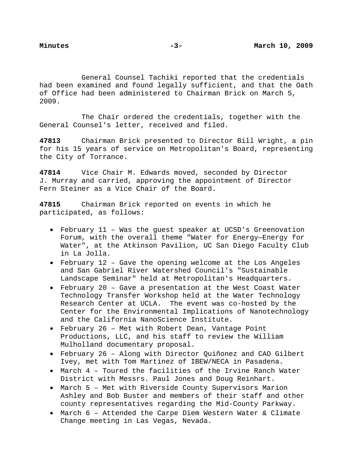General Counsel Tachiki reported that the credentials had been examined and found legally sufficient, and that the Oath of Office had been administered to Chairman Brick on March 5, 2009.

 The Chair ordered the credentials, together with the General Counsel's letter, received and filed.

**47813** Chairman Brick presented to Director Bill Wright, a pin for his 15 years of service on Metropolitan's Board, representing the City of Torrance.

**47814** Vice Chair M. Edwards moved, seconded by Director J. Murray and carried, approving the appointment of Director Fern Steiner as a Vice Chair of the Board.

**47815** Chairman Brick reported on events in which he participated, as follows:

- February 11 Was the guest speaker at UCSD's Greenovation Forum, with the overall theme "Water for Energy—Energy for Water", at the Atkinson Pavilion, UC San Diego Faculty Club in La Jolla.
- February 12 Gave the opening welcome at the Los Angeles and San Gabriel River Watershed Council's "Sustainable Landscape Seminar" held at Metropolitan's Headquarters.
- February 20 Gave a presentation at the West Coast Water Technology Transfer Workshop held at the Water Technology Research Center at UCLA. The event was co-hosted by the Center for the Environmental Implications of Nanotechnology and the California NanoScience Institute.
- February 26 Met with Robert Dean, Vantage Point Productions, LLC, and his staff to review the William Mulholland documentary proposal.
- February 26 Along with Director Quiñonez and CAO Gilbert Ivey, met with Tom Martinez of IBEW/NECA in Pasadena.
- March 4 Toured the facilities of the Irvine Ranch Water District with Messrs. Paul Jones and Doug Reinhart.
- March 5 Met with Riverside County Supervisors Marion Ashley and Bob Buster and members of their staff and other county representatives regarding the Mid-County Parkway.
- March 6 Attended the Carpe Diem Western Water & Climate Change meeting in Las Vegas, Nevada.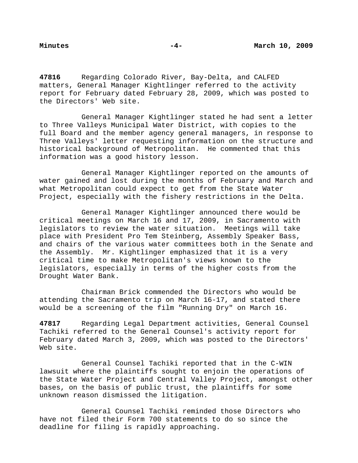**47816** Regarding Colorado River, Bay-Delta, and CALFED matters, General Manager Kightlinger referred to the activity report for February dated February 28, 2009, which was posted to the Directors' Web site.

General Manager Kightlinger stated he had sent a letter to Three Valleys Municipal Water District, with copies to the full Board and the member agency general managers, in response to Three Valleys' letter requesting information on the structure and historical background of Metropolitan. He commented that this information was a good history lesson.

General Manager Kightlinger reported on the amounts of water gained and lost during the months of February and March and what Metropolitan could expect to get from the State Water Project, especially with the fishery restrictions in the Delta.

General Manager Kightlinger announced there would be critical meetings on March 16 and 17, 2009, in Sacramento with legislators to review the water situation. Meetings will take place with President Pro Tem Steinberg, Assembly Speaker Bass, and chairs of the various water committees both in the Senate and the Assembly. Mr. Kightlinger emphasized that it is a very critical time to make Metropolitan's views known to the legislators, especially in terms of the higher costs from the Drought Water Bank.

Chairman Brick commended the Directors who would be attending the Sacramento trip on March 16-17, and stated there would be a screening of the film "Running Dry" on March 16.

**47817** Regarding Legal Department activities, General Counsel Tachiki referred to the General Counsel's activity report for February dated March 3, 2009, which was posted to the Directors' Web site.

General Counsel Tachiki reported that in the C-WIN lawsuit where the plaintiffs sought to enjoin the operations of the State Water Project and Central Valley Project, amongst other bases, on the basis of public trust, the plaintiffs for some unknown reason dismissed the litigation.

General Counsel Tachiki reminded those Directors who have not filed their Form 700 statements to do so since the deadline for filing is rapidly approaching.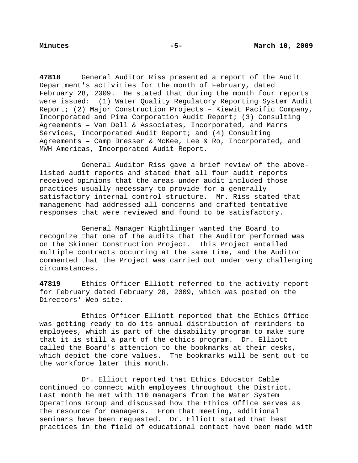**47818** General Auditor Riss presented a report of the Audit Department's activities for the month of February, dated February 28, 2009. He stated that during the month four reports were issued: (1) Water Quality Regulatory Reporting System Audit Report; (2) Major Construction Projects – Kiewit Pacific Company, Incorporated and Pima Corporation Audit Report; (3) Consulting Agreements – Van Dell & Associates, Incorporated, and Marrs Services, Incorporated Audit Report; and (4) Consulting Agreements – Camp Dresser & McKee, Lee & Ro, Incorporated, and MWH Americas, Incorporated Audit Report.

General Auditor Riss gave a brief review of the abovelisted audit reports and stated that all four audit reports received opinions that the areas under audit included those practices usually necessary to provide for a generally satisfactory internal control structure. Mr. Riss stated that management had addressed all concerns and crafted tentative responses that were reviewed and found to be satisfactory.

General Manager Kightlinger wanted the Board to recognize that one of the audits that the Auditor performed was on the Skinner Construction Project. This Project entailed multiple contracts occurring at the same time, and the Auditor commented that the Project was carried out under very challenging circumstances.

**47819** Ethics Officer Elliott referred to the activity report for February dated February 28, 2009, which was posted on the Directors' Web site.

 Ethics Officer Elliott reported that the Ethics Office was getting ready to do its annual distribution of reminders to employees, which is part of the disability program to make sure that it is still a part of the ethics program. Dr. Elliott called the Board's attention to the bookmarks at their desks, which depict the core values. The bookmarks will be sent out to the workforce later this month.

 Dr. Elliott reported that Ethics Educator Cable continued to connect with employees throughout the District. Last month he met with 110 managers from the Water System Operations Group and discussed how the Ethics Office serves as the resource for managers. From that meeting, additional seminars have been requested. Dr. Elliott stated that best practices in the field of educational contact have been made with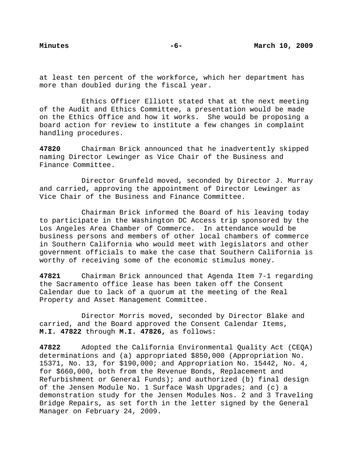at least ten percent of the workforce, which her department has more than doubled during the fiscal year.

 Ethics Officer Elliott stated that at the next meeting of the Audit and Ethics Committee, a presentation would be made on the Ethics Office and how it works. She would be proposing a board action for review to institute a few changes in complaint handling procedures.

**47820** Chairman Brick announced that he inadvertently skipped naming Director Lewinger as Vice Chair of the Business and Finance Committee.

 Director Grunfeld moved, seconded by Director J. Murray and carried, approving the appointment of Director Lewinger as Vice Chair of the Business and Finance Committee.

 Chairman Brick informed the Board of his leaving today to participate in the Washington DC Access trip sponsored by the Los Angeles Area Chamber of Commerce. In attendance would be business persons and members of other local chambers of commerce in Southern California who would meet with legislators and other government officials to make the case that Southern California is worthy of receiving some of the economic stimulus money.

**47821** Chairman Brick announced that Agenda Item 7-1 regarding the Sacramento office lease has been taken off the Consent Calendar due to lack of a quorum at the meeting of the Real Property and Asset Management Committee.

 Director Morris moved, seconded by Director Blake and carried, and the Board approved the Consent Calendar Items, **M.I. 47822** through **M.I. 47826,** as follows:

**47822** Adopted the California Environmental Quality Act (CEQA) determinations and (a) appropriated \$850,000 (Appropriation No. 15371, No. 13, for \$190,000; and Appropriation No. 15442, No. 4, for \$660,000, both from the Revenue Bonds, Replacement and Refurbishment or General Funds); and authorized (b) final design of the Jensen Module No. 1 Surface Wash Upgrades; and (c) a demonstration study for the Jensen Modules Nos. 2 and 3 Traveling Bridge Repairs, as set forth in the letter signed by the General Manager on February 24, 2009.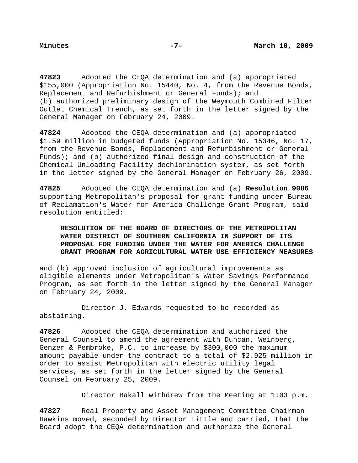**47823** Adopted the CEQA determination and (a) appropriated \$155,000 (Appropriation No. 15440, No. 4, from the Revenue Bonds, Replacement and Refurbishment or General Funds); and (b) authorized preliminary design of the Weymouth Combined Filter Outlet Chemical Trench, as set forth in the letter signed by the General Manager on February 24, 2009.

**47824** Adopted the CEQA determination and (a) appropriated \$1.59 million in budgeted funds (Appropriation No. 15346, No. 17, from the Revenue Bonds, Replacement and Refurbishment or General Funds); and (b) authorized final design and construction of the Chemical Unloading Facility dechlorination system, as set forth in the letter signed by the General Manager on February 26, 2009.

**47825** Adopted the CEQA determination and (a) **Resolution 9086** supporting Metropolitan's proposal for grant funding under Bureau of Reclamation's Water for America Challenge Grant Program, said resolution entitled:

# **RESOLUTION OF THE BOARD OF DIRECTORS OF THE METROPOLITAN WATER DISTRICT OF SOUTHERN CALIFORNIA IN SUPPORT OF ITS PROPOSAL FOR FUNDING UNDER THE WATER FOR AMERICA CHALLENGE GRANT PROGRAM FOR AGRICULTURAL WATER USE EFFICIENCY MEASURES**

and (b) approved inclusion of agricultural improvements as eligible elements under Metropolitan's Water Savings Performance Program, as set forth in the letter signed by the General Manager on February 24, 2009.

 Director J. Edwards requested to be recorded as abstaining.

**47826** Adopted the CEQA determination and authorized the General Counsel to amend the agreement with Duncan, Weinberg, Genzer & Pembroke, P.C. to increase by \$300,000 the maximum amount payable under the contract to a total of \$2.925 million in order to assist Metropolitan with electric utility legal services, as set forth in the letter signed by the General Counsel on February 25, 2009.

Director Bakall withdrew from the Meeting at 1:03 p.m.

**47827** Real Property and Asset Management Committee Chairman Hawkins moved, seconded by Director Little and carried, that the Board adopt the CEQA determination and authorize the General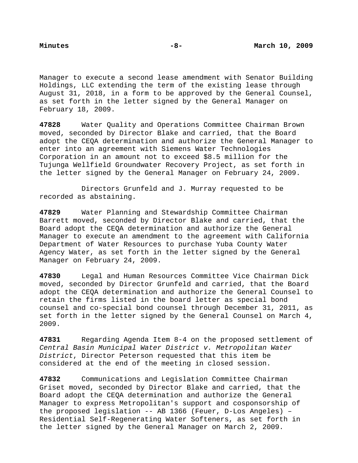Manager to execute a second lease amendment with Senator Building Holdings, LLC extending the term of the existing lease through August 31, 2018, in a form to be approved by the General Counsel, as set forth in the letter signed by the General Manager on February 18, 2009.

**47828** Water Quality and Operations Committee Chairman Brown moved, seconded by Director Blake and carried, that the Board adopt the CEQA determination and authorize the General Manager to enter into an agreement with Siemens Water Technologies Corporation in an amount not to exceed \$8.5 million for the Tujunga Wellfield Groundwater Recovery Project, as set forth in the letter signed by the General Manager on February 24, 2009.

 Directors Grunfeld and J. Murray requested to be recorded as abstaining.

**47829** Water Planning and Stewardship Committee Chairman Barrett moved, seconded by Director Blake and carried, that the Board adopt the CEQA determination and authorize the General Manager to execute an amendment to the agreement with California Department of Water Resources to purchase Yuba County Water Agency Water, as set forth in the letter signed by the General Manager on February 24, 2009.

**47830** Legal and Human Resources Committee Vice Chairman Dick moved, seconded by Director Grunfeld and carried, that the Board adopt the CEQA determination and authorize the General Counsel to retain the firms listed in the board letter as special bond counsel and co-special bond counsel through December 31, 2011, as set forth in the letter signed by the General Counsel on March 4, 2009.

**47831** Regarding Agenda Item 8-4 on the proposed settlement of *Central Basin Municipal Water District v. Metropolitan Water District*, Director Peterson requested that this item be considered at the end of the meeting in closed session.

**47832** Communications and Legislation Committee Chairman Griset moved, seconded by Director Blake and carried, that the Board adopt the CEQA determination and authorize the General Manager to express Metropolitan's support and cosponsorship of the proposed legislation -- AB 1366 (Feuer, D-Los Angeles) – Residential Self-Regenerating Water Softeners, as set forth in the letter signed by the General Manager on March 2, 2009.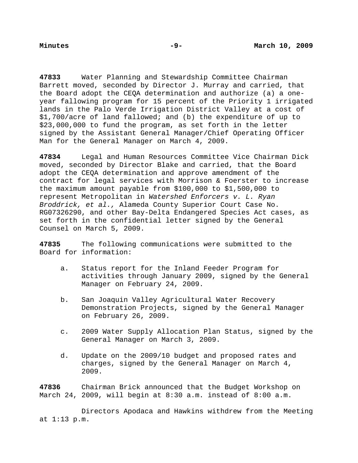**47833** Water Planning and Stewardship Committee Chairman Barrett moved, seconded by Director J. Murray and carried, that the Board adopt the CEQA determination and authorize (a) a oneyear fallowing program for 15 percent of the Priority 1 irrigated lands in the Palo Verde Irrigation District Valley at a cost of \$1,700/acre of land fallowed; and (b) the expenditure of up to \$23,000,000 to fund the program, as set forth in the letter signed by the Assistant General Manager/Chief Operating Officer Man for the General Manager on March 4, 2009.

**47834** Legal and Human Resources Committee Vice Chairman Dick moved, seconded by Director Blake and carried, that the Board adopt the CEQA determination and approve amendment of the contract for legal services with Morrison & Foerster to increase the maximum amount payable from \$100,000 to \$1,500,000 to represent Metropolitan in *Watershed Enforcers v. L. Ryan Broddrick, et al.,* Alameda County Superior Court Case No. RG07326290, and other Bay-Delta Endangered Species Act cases, as set forth in the confidential letter signed by the General Counsel on March 5, 2009.

**47835** The following communications were submitted to the Board for information:

- a. Status report for the Inland Feeder Program for activities through January 2009, signed by the General Manager on February 24, 2009.
- b. San Joaquin Valley Agricultural Water Recovery Demonstration Projects, signed by the General Manager on February 26, 2009.
- c. 2009 Water Supply Allocation Plan Status, signed by the General Manager on March 3, 2009.
- d. Update on the 2009/10 budget and proposed rates and charges, signed by the General Manager on March 4, 2009.

**47836** Chairman Brick announced that the Budget Workshop on March 24, 2009, will begin at 8:30 a.m. instead of 8:00 a.m.

 Directors Apodaca and Hawkins withdrew from the Meeting at 1:13 p.m.